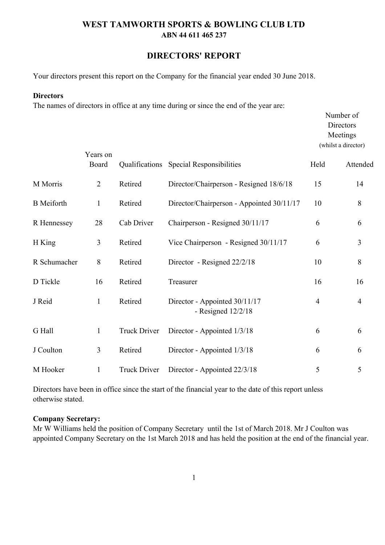## **DIRECTORS' REPORT**

Your directors present this report on the Company for the financial year ended 30 June 2018.

#### **Directors**

The names of directors in office at any time during or since the end of the year are:

Number of Directors Meetings (whilst a director)

|                   | Years on<br>Board |              | Qualifications Special Responsibilities               | Held           | Attended       |
|-------------------|-------------------|--------------|-------------------------------------------------------|----------------|----------------|
| M Morris          | $\overline{2}$    | Retired      | Director/Chairperson - Resigned 18/6/18               | 15             | 14             |
| <b>B</b> Meiforth | $\mathbf{1}$      | Retired      | Director/Chairperson - Appointed 30/11/17             | 10             | 8              |
| R Hennessey       | 28                | Cab Driver   | Chairperson - Resigned 30/11/17                       | 6              | 6              |
| H King            | $\mathfrak{Z}$    | Retired      | Vice Chairperson - Resigned 30/11/17                  | 6              | $\overline{3}$ |
| R Schumacher      | 8                 | Retired      | Director - Resigned 22/2/18                           | 10             | 8              |
| D Tickle          | 16                | Retired      | Treasurer                                             | 16             | 16             |
| J Reid            | $\mathbf{1}$      | Retired      | Director - Appointed 30/11/17<br>- Resigned $12/2/18$ | $\overline{4}$ | $\overline{4}$ |
| G Hall            | $\mathbf{1}$      | Truck Driver | Director - Appointed 1/3/18                           | 6              | 6              |
| J Coulton         | $\mathfrak{Z}$    | Retired      | Director - Appointed 1/3/18                           | 6              | 6              |
| M Hooker          | $\mathbf{1}$      | Truck Driver | Director - Appointed 22/3/18                          | 5              | 5              |

Directors have been in office since the start of the financial year to the date of this report unless otherwise stated.

### **Company Secretary:**

Mr W Williams held the position of Company Secretary until the 1st of March 2018. Mr J Coulton was appointed Company Secretary on the 1st March 2018 and has held the position at the end of the financial year.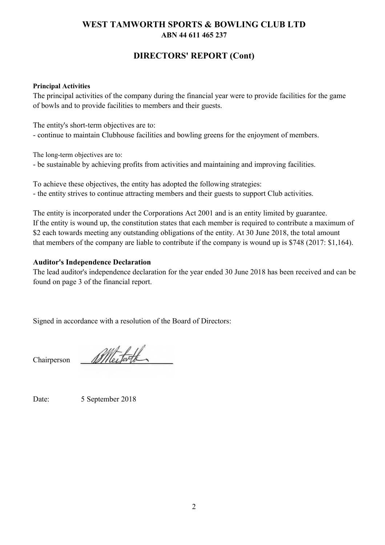# **ABN 44 611 465 237 WEST TAMWORTH SPORTS & BOWLING CLUB LTD**

# **DIRECTORS' REPORT (Cont)**

### **Principal Activities**

The principal activities of the company during the financial year were to provide facilities for the game of bowls and to provide facilities to members and their guests.

The entity's short-term objectives are to: - continue to maintain Clubhouse facilities and bowling greens for the enjoyment of members.

The long-term objectives are to:

- be sustainable by achieving profits from activities and maintaining and improving facilities.

To achieve these objectives, the entity has adopted the following strategies: - the entity strives to continue attracting members and their guests to support Club activities.

The entity is incorporated under the Corporations Act 2001 and is an entity limited by guarantee. If the entity is wound up, the constitution states that each member is required to contribute a maximum of \$2 each towards meeting any outstanding obligations of the entity. At 30 June 2018, the total amount that members of the company are liable to contribute if the company is wound up is \$748 (2017: \$1,164).

### **Auditor's Independence Declaration**

The lead auditor's independence declaration for the year ended 30 June 2018 has been received and can be found on page 3 of the financial report.

Signed in accordance with a resolution of the Board of Directors:

Chairperson

Metarth

Date:

5 September 2018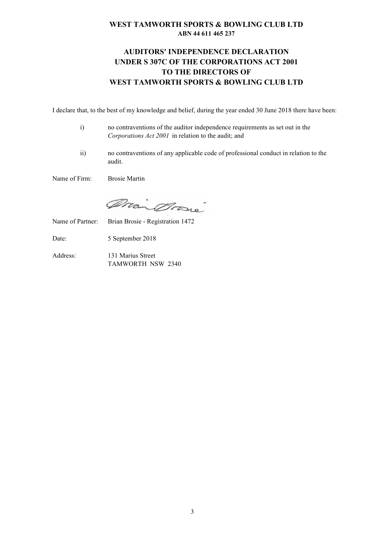### **ABN 44 611 465 237 WEST TAMWORTH SPORTS & BOWLING CLUB LTD**

## **WEST TAMWORTH SPORTS & BOWLING CLUB LTD AUDITORS' INDEPENDENCE DECLARATION UNDER S 307C OF THE CORPORATIONS ACT 2001 TO THE DIRECTORS OF**

I declare that, to the best of my knowledge and belief, during the year ended 30 June 2018 there have been:

- i) no contraventions of the auditor independence requirements as set out in the *Corporations Act 2001* in relation to the audit; and
- ii) no contraventions of any applicable code of professional conduct in relation to the audit.
- Name of Firm: Brosie Martin

Prai Brone

- Name of Partner: Brian Brosie Registration 1472
- Date: 5 September 2018
- Address: 131 Marius Street TAMWORTH NSW 2340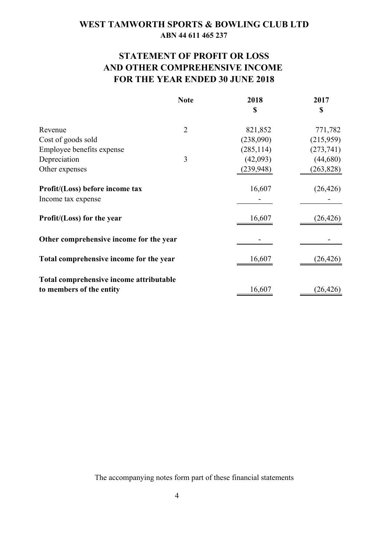# **STATEMENT OF PROFIT OR LOSS AND OTHER COMPREHENSIVE INCOME FOR THE YEAR ENDED 30 JUNE 2018**

|                                                                     | <b>Note</b>    | 2018       | 2017       |
|---------------------------------------------------------------------|----------------|------------|------------|
|                                                                     |                | \$         | \$         |
| Revenue                                                             | $\overline{2}$ | 821,852    | 771,782    |
| Cost of goods sold                                                  |                | (238,090)  | (215,959)  |
| Employee benefits expense                                           |                | (285, 114) | (273, 741) |
| Depreciation                                                        | 3              | (42,093)   | (44, 680)  |
| Other expenses                                                      |                | (239, 948) | (263, 828) |
| Profit/(Loss) before income tax                                     |                | 16,607     | (26, 426)  |
| Income tax expense                                                  |                |            |            |
| Profit/(Loss) for the year                                          |                | 16,607     | (26,426)   |
| Other comprehensive income for the year                             |                |            |            |
| Total comprehensive income for the year                             |                | 16,607     | (26,426)   |
| Total comprehensive income attributable<br>to members of the entity |                | 16,607     | (26, 426)  |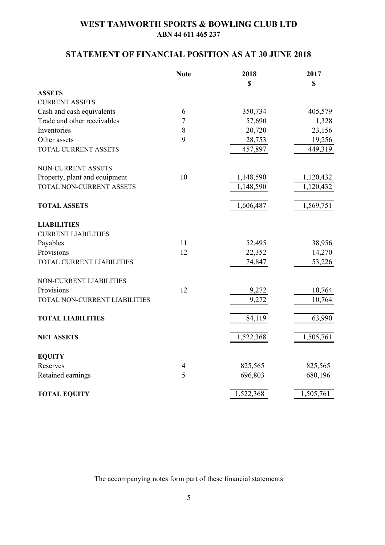# **STATEMENT OF FINANCIAL POSITION AS AT 30 JUNE 2018**

|                               | <b>Note</b>    | 2018              | 2017      |
|-------------------------------|----------------|-------------------|-----------|
|                               |                | \$                | \$        |
| <b>ASSETS</b>                 |                |                   |           |
| <b>CURRENT ASSETS</b>         |                |                   |           |
| Cash and cash equivalents     | 6              | 350,734           | 405,579   |
| Trade and other receivables   | $\overline{7}$ | 57,690            | 1,328     |
| Inventories                   | $\,$ $\,$      | 20,720            | 23,156    |
| Other assets                  | 9              | 28,753            | 19,256    |
| TOTAL CURRENT ASSETS          |                | 457,897           | 449,319   |
| <b>NON-CURRENT ASSETS</b>     |                |                   |           |
| Property, plant and equipment | 10             | 1,148,590         | 1,120,432 |
| TOTAL NON-CURRENT ASSETS      |                | 1,148,590         | 1,120,432 |
| <b>TOTAL ASSETS</b>           |                | 1,606,487         | 1,569,751 |
| <b>LIABILITIES</b>            |                |                   |           |
| <b>CURRENT LIABILITIES</b>    |                |                   |           |
| Payables                      | 11             | 52,495            | 38,956    |
| Provisions                    | 12             | 22,352            | 14,270    |
| TOTAL CURRENT LIABILITIES     |                | 74,847            | 53,226    |
| NON-CURRENT LIABILITIES       |                |                   |           |
| Provisions                    | 12             | 9,272             | 10,764    |
| TOTAL NON-CURRENT LIABILITIES |                | $\frac{1}{9,272}$ | 10,764    |
| <b>TOTAL LIABILITIES</b>      |                | 84,119            | 63,990    |
| <b>NET ASSETS</b>             |                | 1,522,368         | 1,505,761 |
| <b>EQUITY</b>                 |                |                   |           |
| Reserves                      | $\overline{4}$ | 825,565           | 825,565   |
| Retained earnings             | 5              | 696,803           | 680,196   |
| <b>TOTAL EQUITY</b>           |                | 1,522,368         | 1,505,761 |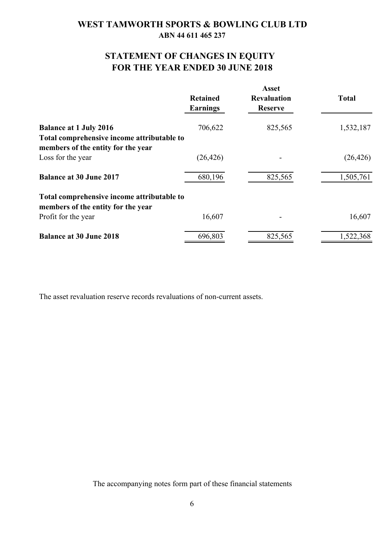# **FOR THE YEAR ENDED 30 JUNE 2018 STATEMENT OF CHANGES IN EQUITY**

|                                                                                  | <b>Retained</b><br><b>Earnings</b> | <b>Asset</b><br><b>Revaluation</b><br><b>Reserve</b> | <b>Total</b> |
|----------------------------------------------------------------------------------|------------------------------------|------------------------------------------------------|--------------|
| <b>Balance at 1 July 2016</b>                                                    | 706,622                            | 825,565                                              | 1,532,187    |
| Total comprehensive income attributable to                                       |                                    |                                                      |              |
| members of the entity for the year                                               |                                    |                                                      |              |
| Loss for the year                                                                | (26, 426)                          |                                                      | (26, 426)    |
| <b>Balance at 30 June 2017</b>                                                   | 680,196                            | 825,565                                              | 1,505,761    |
| Total comprehensive income attributable to<br>members of the entity for the year |                                    |                                                      |              |
| Profit for the year                                                              | 16,607                             |                                                      | 16,607       |
| <b>Balance at 30 June 2018</b>                                                   | 696,803                            | 825,565                                              | 1,522,368    |

The asset revaluation reserve records revaluations of non-current assets.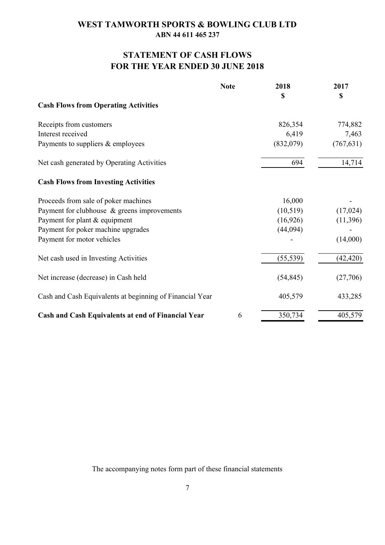# **FOR THE YEAR ENDED 30 JUNE 2018 STATEMENT OF CASH FLOWS**

|                                                          | <b>Note</b> | 2018      | 2017       |
|----------------------------------------------------------|-------------|-----------|------------|
| <b>Cash Flows from Operating Activities</b>              |             | \$        | \$         |
| Receipts from customers                                  |             | 826,354   | 774,882    |
| Interest received                                        |             | 6,419     | 7,463      |
| Payments to suppliers & employees                        |             | (832,079) | (767, 631) |
| Net cash generated by Operating Activities               |             | 694       | 14,714     |
| <b>Cash Flows from Investing Activities</b>              |             |           |            |
| Proceeds from sale of poker machines                     |             | 16,000    |            |
| Payment for clubhouse $\&$ greens improvements           |             | (10,519)  | (17, 024)  |
| Payment for plant & equipment                            |             | (16,926)  | (11,396)   |
| Payment for poker machine upgrades                       |             | (44,094)  |            |
| Payment for motor vehicles                               |             |           | (14,000)   |
| Net cash used in Investing Activities                    |             | (55, 539) | (42, 420)  |
| Net increase (decrease) in Cash held                     |             | (54, 845) | (27,706)   |
| Cash and Cash Equivalents at beginning of Financial Year |             | 405,579   | 433,285    |
| Cash and Cash Equivalents at end of Financial Year       | 6           | 350,734   | 405,579    |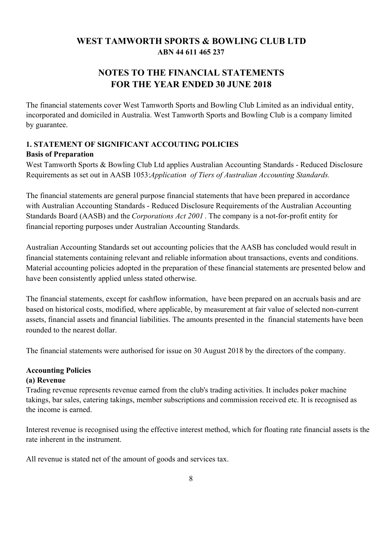# **NOTES TO THE FINANCIAL STATEMENTS FOR THE YEAR ENDED 30 JUNE 2018**

The financial statements cover West Tamworth Sports and Bowling Club Limited as an individual entity, incorporated and domiciled in Australia. West Tamworth Sports and Bowling Club is a company limited by guarantee.

## **1. STATEMENT OF SIGNIFICANT ACCOUTING POLICIES Basis of Preparation**

West Tamworth Sports & Bowling Club Ltd applies Australian Accounting Standards - Reduced Disclosure Requirements as set out in AASB 1053:*Application of Tiers of Australian Accounting Standards.*

The financial statements are general purpose financial statements that have been prepared in accordance with Australian Accounting Standards - Reduced Disclosure Requirements of the Australian Accounting Standards Board (AASB) and the *Corporations Act 2001* . The company is a not-for-profit entity for financial reporting purposes under Australian Accounting Standards.

Australian Accounting Standards set out accounting policies that the AASB has concluded would result in financial statements containing relevant and reliable information about transactions, events and conditions. Material accounting policies adopted in the preparation of these financial statements are presented below and have been consistently applied unless stated otherwise.

The financial statements, except for cashflow information, have been prepared on an accruals basis and are based on historical costs, modified, where applicable, by measurement at fair value of selected non-current assets, financial assets and financial liabilities. The amounts presented in the financial statements have been rounded to the nearest dollar.

The financial statements were authorised for issue on 30 August 2018 by the directors of the company.

### **Accounting Policies**

## **(a) Revenue**

Trading revenue represents revenue earned from the club's trading activities. It includes poker machine takings, bar sales, catering takings, member subscriptions and commission received etc. It is recognised as the income is earned.

Interest revenue is recognised using the effective interest method, which for floating rate financial assets is the rate inherent in the instrument.

All revenue is stated net of the amount of goods and services tax.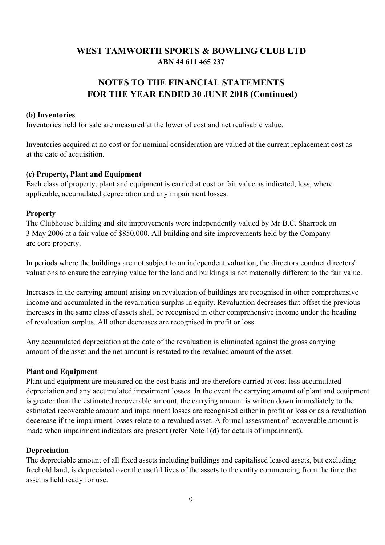# **NOTES TO THE FINANCIAL STATEMENTS FOR THE YEAR ENDED 30 JUNE 2018 (Continued)**

### **(b) Inventories**

Inventories held for sale are measured at the lower of cost and net realisable value.

Inventories acquired at no cost or for nominal consideration are valued at the current replacement cost as at the date of acquisition.

### **(c) Property, Plant and Equipment**

Each class of property, plant and equipment is carried at cost or fair value as indicated, less, where applicable, accumulated depreciation and any impairment losses.

#### **Property**

The Clubhouse building and site improvements were independently valued by Mr B.C. Sharrock on 3 May 2006 at a fair value of \$850,000. All building and site improvements held by the Company are core property.

In periods where the buildings are not subject to an independent valuation, the directors conduct directors' valuations to ensure the carrying value for the land and buildings is not materially different to the fair value.

Increases in the carrying amount arising on revaluation of buildings are recognised in other comprehensive income and accumulated in the revaluation surplus in equity. Revaluation decreases that offset the previous increases in the same class of assets shall be recognised in other comprehensive income under the heading of revaluation surplus. All other decreases are recognised in profit or loss.

Any accumulated depreciation at the date of the revaluation is eliminated against the gross carrying amount of the asset and the net amount is restated to the revalued amount of the asset.

#### **Plant and Equipment**

Plant and equipment are measured on the cost basis and are therefore carried at cost less accumulated depreciation and any accumulated impairment losses. In the event the carrying amount of plant and equipment is greater than the estimated recoverable amount, the carrying amount is written down immediately to the estimated recoverable amount and impairment losses are recognised either in profit or loss or as a revaluation decerease if the impairment losses relate to a revalued asset. A formal assessment of recoverable amount is made when impairment indicators are present (refer Note 1(d) for details of impairment).

#### **Depreciation**

The depreciable amount of all fixed assets including buildings and capitalised leased assets, but excluding freehold land, is depreciated over the useful lives of the assets to the entity commencing from the time the asset is held ready for use.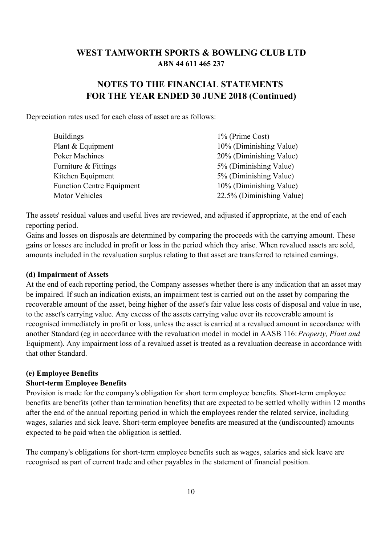# **NOTES TO THE FINANCIAL STATEMENTS FOR THE YEAR ENDED 30 JUNE 2018 (Continued)**

Depreciation rates used for each class of asset are as follows:

| <b>Buildings</b>                 | 1% (Prime Cost)           |
|----------------------------------|---------------------------|
| Plant & Equipment                | 10% (Diminishing Value)   |
| <b>Poker Machines</b>            | 20% (Diminishing Value)   |
| Furniture & Fittings             | 5% (Diminishing Value)    |
| Kitchen Equipment                | 5% (Diminishing Value)    |
| <b>Function Centre Equipment</b> | 10% (Diminishing Value)   |
| Motor Vehicles                   | 22.5% (Diminishing Value) |

The assets' residual values and useful lives are reviewed, and adjusted if appropriate, at the end of each reporting period.

Gains and losses on disposals are determined by comparing the proceeds with the carrying amount. These gains or losses are included in profit or loss in the period which they arise. When revalued assets are sold, amounts included in the revaluation surplus relating to that asset are transferred to retained earnings.

#### **(d) Impairment of Assets**

At the end of each reporting period, the Company assesses whether there is any indication that an asset may be impaired. If such an indication exists, an impairment test is carried out on the asset by comparing the recoverable amount of the asset, being higher of the asset's fair value less costs of disposal and value in use, to the asset's carrying value. Any excess of the assets carrying value over its recoverable amount is recognised immediately in profit or loss, unless the asset is carried at a revalued amount in accordance with another Standard (eg in accordance with the revaluation model in model in AASB 116: *Property, Plant and*  Equipment). Any impairment loss of a revalued asset is treated as a revaluation decrease in accordance with that other Standard.

### **(e) Employee Benefits**

#### **Short-term Employee Benefits**

Provision is made for the company's obligation for short term employee benefits. Short-term employee benefits are benefits (other than termination benefits) that are expected to be settled wholly within 12 months after the end of the annual reporting period in which the employees render the related service, including wages, salaries and sick leave. Short-term employee benefits are measured at the (undiscounted) amounts expected to be paid when the obligation is settled.

The company's obligations for short-term employee benefits such as wages, salaries and sick leave are recognised as part of current trade and other payables in the statement of financial position.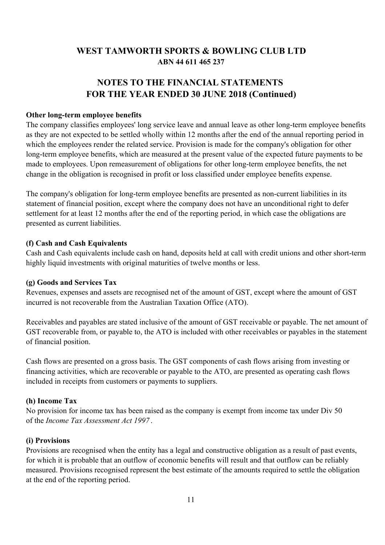# **NOTES TO THE FINANCIAL STATEMENTS FOR THE YEAR ENDED 30 JUNE 2018 (Continued)**

### **Other long-term employee benefits**

The company classifies employees' long service leave and annual leave as other long-term employee benefits as they are not expected to be settled wholly within 12 months after the end of the annual reporting period in which the employees render the related service. Provision is made for the company's obligation for other long-term employee benefits, which are measured at the present value of the expected future payments to be made to employees. Upon remeasurement of obligations for other long-term employee benefits, the net change in the obligation is recognised in profit or loss classified under employee benefits expense.

The company's obligation for long-term employee benefits are presented as non-current liabilities in its statement of financial position, except where the company does not have an unconditional right to defer settlement for at least 12 months after the end of the reporting period, in which case the obligations are presented as current liabilities.

#### **(f) Cash and Cash Equivalents**

Cash and Cash equivalents include cash on hand, deposits held at call with credit unions and other short-term highly liquid investments with original maturities of twelve months or less.

### **(g) Goods and Services Tax**

Revenues, expenses and assets are recognised net of the amount of GST, except where the amount of GST incurred is not recoverable from the Australian Taxation Office (ATO).

Receivables and payables are stated inclusive of the amount of GST receivable or payable. The net amount of GST recoverable from, or payable to, the ATO is included with other receivables or payables in the statement of financial position.

Cash flows are presented on a gross basis. The GST components of cash flows arising from investing or financing activities, which are recoverable or payable to the ATO, are presented as operating cash flows included in receipts from customers or payments to suppliers.

#### **(h) Income Tax**

No provision for income tax has been raised as the company is exempt from income tax under Div 50 of the *Income Tax Assessment Act 1997* .

#### **(i) Provisions**

Provisions are recognised when the entity has a legal and constructive obligation as a result of past events, for which it is probable that an outflow of economic benefits will result and that outflow can be reliably measured. Provisions recognised represent the best estimate of the amounts required to settle the obligation at the end of the reporting period.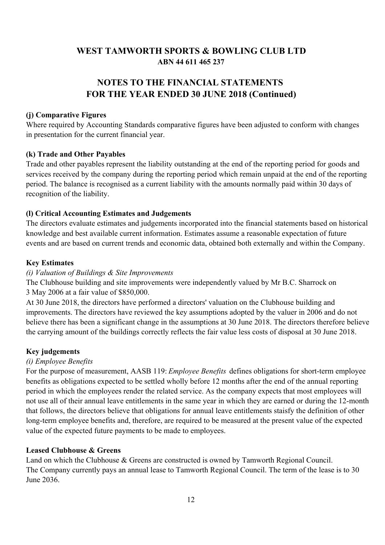# **NOTES TO THE FINANCIAL STATEMENTS FOR THE YEAR ENDED 30 JUNE 2018 (Continued)**

### **(j) Comparative Figures**

Where required by Accounting Standards comparative figures have been adjusted to conform with changes in presentation for the current financial year.

### **(k) Trade and Other Payables**

Trade and other payables represent the liability outstanding at the end of the reporting period for goods and services received by the company during the reporting period which remain unpaid at the end of the reporting period. The balance is recognised as a current liability with the amounts normally paid within 30 days of recognition of the liability.

## **(l) Critical Accounting Estimates and Judgements**

The directors evaluate estimates and judgements incorporated into the financial statements based on historical knowledge and best available current information. Estimates assume a reasonable expectation of future events and are based on current trends and economic data, obtained both externally and within the Company.

### **Key Estimates**

### *(i) Valuation of Buildings & Site Improvements*

The Clubhouse building and site improvements were independently valued by Mr B.C. Sharrock on 3 May 2006 at a fair value of \$850,000.

At 30 June 2018, the directors have performed a directors' valuation on the Clubhouse building and improvements. The directors have reviewed the key assumptions adopted by the valuer in 2006 and do not believe there has been a significant change in the assumptions at 30 June 2018. The directors therefore believe the carrying amount of the buildings correctly reflects the fair value less costs of disposal at 30 June 2018.

## **Key judgements**

### *(i) Employee Benefits*

For the purpose of measurement, AASB 119: *Employee Benefits* defines obligations for short-term employee benefits as obligations expected to be settled wholly before 12 months after the end of the annual reporting period in which the employees render the related service. As the company expects that most employees will not use all of their annual leave entitlements in the same year in which they are earned or during the 12-month that follows, the directors believe that obligations for annual leave entitlements staisfy the definition of other long-term employee benefits and, therefore, are required to be measured at the present value of the expected value of the expected future payments to be made to employees.

## **Leased Clubhouse & Greens**

Land on which the Clubhouse & Greens are constructed is owned by Tamworth Regional Council. The Company currently pays an annual lease to Tamworth Regional Council. The term of the lease is to 30 June 2036.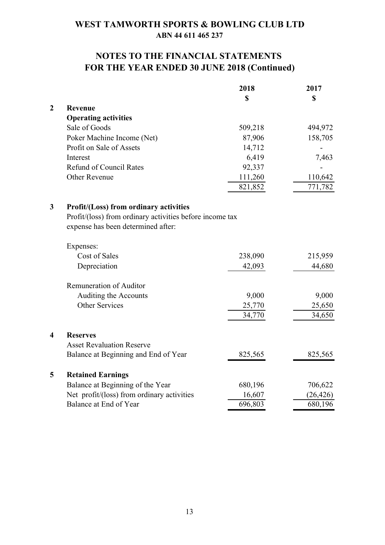# **FOR THE YEAR ENDED 30 JUNE 2018 (Continued) NOTES TO THE FINANCIAL STATEMENTS**

|                         |                                                          | 2018<br>$\mathbf S$ | 2017<br>\$ |
|-------------------------|----------------------------------------------------------|---------------------|------------|
| $\boldsymbol{2}$        | Revenue                                                  |                     |            |
|                         | <b>Operating activities</b>                              |                     |            |
|                         | Sale of Goods                                            | 509,218             | 494,972    |
|                         | Poker Machine Income (Net)                               | 87,906              | 158,705    |
|                         | Profit on Sale of Assets                                 | 14,712              |            |
|                         | Interest                                                 | 6,419               | 7,463      |
|                         | <b>Refund of Council Rates</b>                           | 92,337              |            |
|                         | <b>Other Revenue</b>                                     | 111,260             | 110,642    |
|                         |                                                          | 821,852             | 771,782    |
| 3                       | <b>Profit/(Loss) from ordinary activities</b>            |                     |            |
|                         | Profit/(loss) from ordinary activities before income tax |                     |            |
|                         | expense has been determined after:                       |                     |            |
|                         | Expenses:                                                |                     |            |
|                         | Cost of Sales                                            | 238,090             | 215,959    |
|                         | Depreciation                                             | 42,093              | 44,680     |
|                         | <b>Remuneration of Auditor</b>                           |                     |            |
|                         | Auditing the Accounts                                    | 9,000               | 9,000      |
|                         | <b>Other Services</b>                                    | 25,770              | 25,650     |
|                         |                                                          | 34,770              | 34,650     |
| $\overline{\mathbf{4}}$ | <b>Reserves</b>                                          |                     |            |
|                         | <b>Asset Revaluation Reserve</b>                         |                     |            |
|                         | Balance at Beginning and End of Year                     | 825,565             | 825,565    |
| 5                       | <b>Retained Earnings</b>                                 |                     |            |
|                         | Balance at Beginning of the Year                         | 680,196             | 706,622    |
|                         | Net profit/(loss) from ordinary activities               | 16,607              | (26, 426)  |
|                         | Balance at End of Year                                   | 696,803             | 680,196    |
|                         |                                                          |                     |            |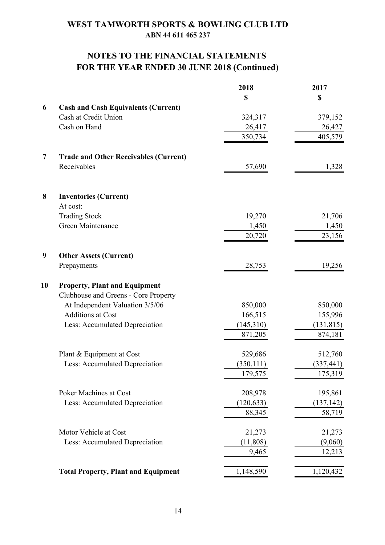# **NOTES TO THE FINANCIAL STATEMENTS FOR THE YEAR ENDED 30 JUNE 2018 (Continued)**

|    |                                              | 2018       | 2017       |
|----|----------------------------------------------|------------|------------|
|    |                                              | \$         | \$         |
| 6  | <b>Cash and Cash Equivalents (Current)</b>   |            |            |
|    | Cash at Credit Union                         | 324,317    | 379,152    |
|    | Cash on Hand                                 | 26,417     | 26,427     |
|    |                                              | 350,734    | 405,579    |
| 7  | <b>Trade and Other Receivables (Current)</b> |            |            |
|    | Receivables                                  | 57,690     | 1,328      |
| 8  | <b>Inventories (Current)</b>                 |            |            |
|    | At cost:                                     |            |            |
|    | <b>Trading Stock</b>                         | 19,270     | 21,706     |
|    | <b>Green Maintenance</b>                     | 1,450      | 1,450      |
|    |                                              | 20,720     | 23,156     |
| 9  | <b>Other Assets (Current)</b>                |            |            |
|    | Prepayments                                  | 28,753     | 19,256     |
| 10 | <b>Property, Plant and Equipment</b>         |            |            |
|    | Clubhouse and Greens - Core Property         |            |            |
|    | At Independent Valuation 3/5/06              | 850,000    | 850,000    |
|    | <b>Additions at Cost</b>                     | 166,515    | 155,996    |
|    | Less: Accumulated Depreciation               | (145,310)  | (131, 815) |
|    |                                              | 871,205    | 874,181    |
|    | Plant & Equipment at Cost                    | 529,686    | 512,760    |
|    | Less: Accumulated Depreciation               | (350, 111) | (337, 441) |
|    |                                              | 179,575    | 175,319    |
|    | Poker Machines at Cost                       | 208,978    | 195,861    |
|    | Less: Accumulated Depreciation               | (120, 633) | (137, 142) |
|    |                                              | 88,345     | 58,719     |
|    | Motor Vehicle at Cost                        | 21,273     | 21,273     |
|    | Less: Accumulated Depreciation               | (11,808)   | (9,060)    |
|    |                                              | 9,465      | 12,213     |
|    | <b>Total Property, Plant and Equipment</b>   | 1,148,590  | 1,120,432  |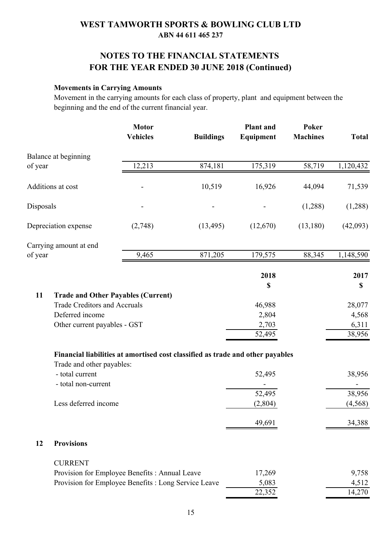# **NOTES TO THE FINANCIAL STATEMENTS FOR THE YEAR ENDED 30 JUNE 2018 (Continued)**

#### **Movements in Carrying Amounts**

Movement in the carrying amounts for each class of property, plant and equipment between the beginning and the end of the current financial year.

|           |                                              | <b>Motor</b><br><b>Vehicles</b>                                                | <b>Buildings</b> | <b>Plant</b> and<br>Equipment | Poker<br><b>Machines</b> | <b>Total</b> |
|-----------|----------------------------------------------|--------------------------------------------------------------------------------|------------------|-------------------------------|--------------------------|--------------|
|           | Balance at beginning                         |                                                                                |                  |                               |                          |              |
| of year   |                                              | 12,213                                                                         | 874,181          | 175,319                       | 58,719                   | 1,120,432    |
|           | Additions at cost                            |                                                                                | 10,519           | 16,926                        | 44,094                   | 71,539       |
| Disposals |                                              |                                                                                |                  |                               | (1,288)                  | (1,288)      |
|           | Depreciation expense                         | (2,748)                                                                        | (13, 495)        | (12,670)                      | (13, 180)                | (42,093)     |
|           | Carrying amount at end                       |                                                                                |                  |                               |                          |              |
| of year   |                                              | 9,465                                                                          | 871,205          | 179,575                       | 88,345                   | 1,148,590    |
|           |                                              |                                                                                |                  | 2018                          |                          | 2017         |
|           |                                              |                                                                                |                  | \$                            |                          | \$           |
| 11        |                                              | <b>Trade and Other Payables (Current)</b>                                      |                  |                               |                          |              |
|           | <b>Trade Creditors and Accruals</b>          |                                                                                |                  | 46,988                        |                          | 28,077       |
|           | Deferred income                              |                                                                                |                  | 2,804                         |                          | 4,568        |
|           | Other current payables - GST                 |                                                                                |                  | 2,703                         |                          | 6,311        |
|           |                                              |                                                                                |                  | 52,495                        |                          | 38,956       |
|           |                                              | Financial liabilities at amortised cost classified as trade and other payables |                  |                               |                          |              |
|           | Trade and other payables:<br>- total current |                                                                                |                  | 52,495                        |                          | 38,956       |
|           | - total non-current                          |                                                                                |                  |                               |                          |              |
|           |                                              |                                                                                |                  | 52,495                        |                          | 38,956       |
|           | Less deferred income                         |                                                                                |                  | (2,804)                       |                          | (4, 568)     |
|           |                                              |                                                                                |                  |                               |                          |              |
|           |                                              |                                                                                |                  | 49,691                        |                          | 34,388       |
| 12        | <b>Provisions</b>                            |                                                                                |                  |                               |                          |              |
|           | <b>CURRENT</b>                               |                                                                                |                  |                               |                          |              |
|           |                                              | Provision for Employee Benefits : Annual Leave                                 |                  | 17,269                        |                          | 9,758        |
|           |                                              | Provision for Employee Benefits : Long Service Leave                           |                  | 5,083                         |                          | 4,512        |

22,352 14,270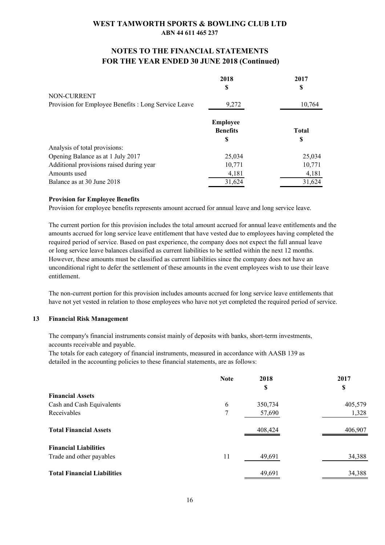## **NOTES TO THE FINANCIAL STATEMENTS FOR THE YEAR ENDED 30 JUNE 2018 (Continued)**

|                                                      | 2018            | 2017         |
|------------------------------------------------------|-----------------|--------------|
|                                                      | \$              | \$           |
| NON-CURRENT                                          |                 |              |
| Provision for Employee Benefits : Long Service Leave | 9,272           | 10,764       |
|                                                      | <b>Employee</b> |              |
|                                                      | <b>Benefits</b> | <b>Total</b> |
|                                                      | \$              | \$           |
| Analysis of total provisions:                        |                 |              |
| Opening Balance as at 1 July 2017                    | 25,034          | 25,034       |
| Additional provisions raised during year             | 10,771          | 10,771       |
| Amounts used                                         | 4,181           | 4,181        |
| Balance as at 30 June 2018                           | 31,624          | 31,624       |

#### **Provision for Employee Benefits**

Provision for employee benefits represents amount accrued for annual leave and long service leave.

The current portion for this provision includes the total amount accrued for annual leave entitlements and the amounts accrued for long service leave entitlement that have vested due to employees having completed the required period of service. Based on past experience, the company does not expect the full annual leave or long service leave balances classified as current liabilities to be settled within the next 12 months. However, these amounts must be classified as current liabilities since the company does not have an unconditional right to defer the settlement of these amounts in the event employees wish to use their leave entitlement.

The non-current portion for this provision includes amounts accrued for long service leave entitlements that have not yet vested in relation to those employees who have not yet completed the required period of service.

#### **13 Financial Risk Management**

The company's financial instruments consist mainly of deposits with banks, short-term investments, accounts receivable and payable.

The totals for each category of financial instruments, measured in accordance with AASB 139 as detailed in the accounting policies to these financial statements, are as follows:

|                                    | <b>Note</b> | 2018    | 2017    |
|------------------------------------|-------------|---------|---------|
|                                    |             | \$      | \$      |
| <b>Financial Assets</b>            |             |         |         |
| Cash and Cash Equivalents          | 6           | 350,734 | 405,579 |
| Receivables                        | 7           | 57,690  | 1,328   |
| <b>Total Financial Assets</b>      |             | 408,424 | 406,907 |
| <b>Financial Liabilities</b>       |             |         |         |
| Trade and other payables           | 11          | 49,691  | 34,388  |
| <b>Total Financial Liabilities</b> |             | 49,691  | 34,388  |
|                                    |             |         |         |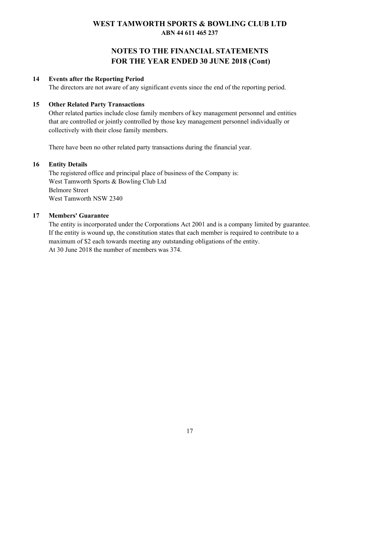## **NOTES TO THE FINANCIAL STATEMENTS FOR THE YEAR ENDED 30 JUNE 2018 (Cont)**

#### **14 Events after the Reporting Period**

The directors are not aware of any significant events since the end of the reporting period.

#### **15 Other Related Party Transactions**

Other related parties include close family members of key management personnel and entities that are controlled or jointly controlled by those key management personnel individually or collectively with their close family members.

There have been no other related party transactions during the financial year.

#### **16 Entity Details**

The registered office and principal place of business of the Company is: West Tamworth Sports & Bowling Club Ltd Belmore Street West Tamworth NSW 2340

#### **17 Members' Guarantee**

The entity is incorporated under the Corporations Act 2001 and is a company limited by guarantee. If the entity is wound up, the constitution states that each member is required to contribute to a maximum of \$2 each towards meeting any outstanding obligations of the entity. At 30 June 2018 the number of members was 374.

17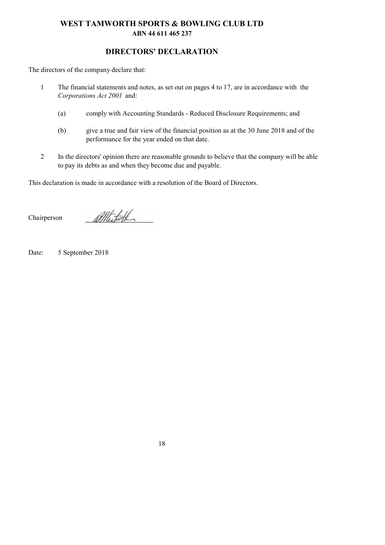### **DIRECTORS' DECLARATION**

The directors of the company declare that:

- 1 The financial statements and notes, as set out on pages 4 to 17, are in accordance with the *Corporations Act 2001* and:
	- (a) comply with Accounting Standards Reduced Disclosure Requirements; and
	- (b) give a true and fair view of the financial position as at the 30 June 2018 and of the performance for the year ended on that date.
- 2 In the directors' opinion there are reasonable grounds to believe that the company will be able to pay its debts as and when they become due and payable.

This declaration is made in accordance with a resolution of the Board of Directors.

Chairperson

Mestorth

Date: 5 September 2018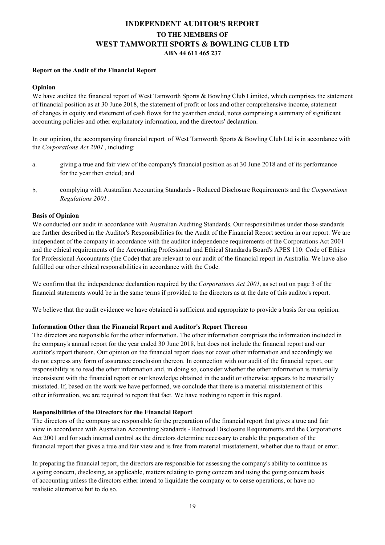## **INDEPENDENT AUDITOR'S REPORT TO THE MEMBERS OF WEST TAMWORTH SPORTS & BOWLING CLUB LTD ABN 44 611 465 237**

#### **Report on the Audit of the Financial Report**

#### **Opinion**

We have audited the financial report of West Tamworth Sports & Bowling Club Limited, which comprises the statement of financial position as at 30 June 2018, the statement of profit or loss and other comprehensive income, statement of changes in equity and statement of cash flows for the year then ended, notes comprising a summary of significant accounting policies and other explanatory information, and the directors' declaration.

In our opinion, the accompanying financial report of West Tamworth Sports & Bowling Club Ltd is in accordance with the *Corporations Act 2001* , including:

- a. giving a true and fair view of the company's financial position as at 30 June 2018 and of its performance for the year then ended; and
- b. complying with Australian Accounting Standards Reduced Disclosure Requirements and the *Corporations Regulations 2001* .

#### **Basis of Opinion**

We conducted our audit in accordance with Australian Auditing Standards. Our responsibilities under those standards are further described in the Auditor's Responsibilities for the Audit of the Financial Report section in our report. We are independent of the company in accordance with the auditor independence requirements of the Corporations Act 2001 and the ethical requirements of the Accounting Professional and Ethical Standards Board's APES 110: Code of Ethics for Professional Accountants (the Code) that are relevant to our audit of the financial report in Australia. We have also fulfilled our other ethical responsibilities in accordance with the Code.

We confirm that the independence declaration required by the *Corporations Act 2001,* as set out on page 3 of the financial statements would be in the same terms if provided to the directors as at the date of this auditor's report.

We believe that the audit evidence we have obtained is sufficient and appropriate to provide a basis for our opinion.

#### **Information Other than the Financial Report and Auditor's Report Thereon**

The directors are responsible for the other information. The other information comprises the information included in the company's annual report for the year ended 30 June 2018, but does not include the financial report and our auditor's report thereon. Our opinion on the financial report does not cover other information and accordingly we do not express any form of assurance conclusion thereon. In connection with our audit of the financial report, our responsibility is to read the other information and, in doing so, consider whether the other information is materially inconsistent with the financial report or our knowledge obtained in the audit or otherwise appears to be materially misstated. If, based on the work we have performed, we conclude that there is a material misstatement of this other information, we are required to report that fact. We have nothing to report in this regard.

#### **Responsibilities of the Directors for the Financial Report**

The directors of the company are responsible for the preparation of the financial report that gives a true and fair view in accordance with Australian Accounting Standards - Reduced Disclosure Requirements and the Corporations Act 2001 and for such internal control as the directors determine necessary to enable the preparation of the financial report that gives a true and fair view and is free from material misstatement, whether due to fraud or error.

In preparing the financial report, the directors are responsible for assessing the company's ability to continue as a going concern, disclosing, as applicable, matters relating to going concern and using the going concern basis of accounting unless the directors either intend to liquidate the company or to cease operations, or have no realistic alternative but to do so.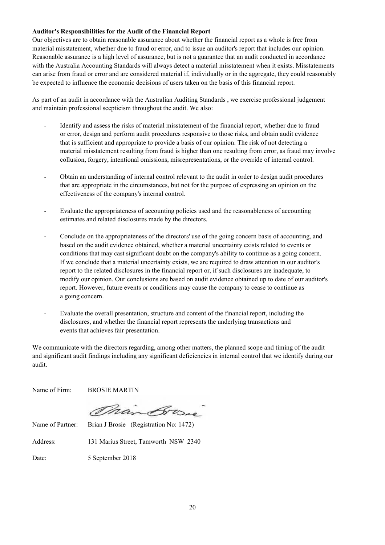#### **Auditor's Responsibilities for the Audit of the Financial Report**

Our objectives are to obtain reasonable assurance about whether the financial report as a whole is free from material misstatement, whether due to fraud or error, and to issue an auditor's report that includes our opinion. Reasonable assurance is a high level of assurance, but is not a guarantee that an audit conducted in accordance with the Australia Accounting Standards will always detect a material misstatement when it exists. Misstatements can arise from fraud or error and are considered material if, individually or in the aggregate, they could reasonably be expected to influence the economic decisions of users taken on the basis of this financial report.

As part of an audit in accordance with the Australian Auditing Standards , we exercise professional judgement and maintain professional scepticism throughout the audit. We also:

- Identify and assess the risks of material misstatement of the financial report, whether due to fraud or error, design and perform audit procedures responsive to those risks, and obtain audit evidence that is sufficient and appropriate to provide a basis of our opinion. The risk of not detecting a material misstatement resulting from fraud is higher than one resulting from error, as fraud may involve collusion, forgery, intentional omissions, misrepresentations, or the override of internal control.
- Obtain an understanding of internal control relevant to the audit in order to design audit procedures that are appropriate in the circumstances, but not for the purpose of expressing an opinion on the effectiveness of the company's internal control.
- Evaluate the appropriateness of accounting policies used and the reasonableness of accounting estimates and related disclosures made by the directors.
- Conclude on the appropriateness of the directors' use of the going concern basis of accounting, and based on the audit evidence obtained, whether a material uncertainty exists related to events or conditions that may cast significant doubt on the company's ability to continue as a going concern. If we conclude that a material uncertainty exists, we are required to draw attention in our auditor's report to the related disclosures in the financial report or, if such disclosures are inadequate, to modify our opinion. Our conclusions are based on audit evidence obtained up to date of our auditor's report. However, future events or conditions may cause the company to cease to continue as a going concern.
- Evaluate the overall presentation, structure and content of the financial report, including the disclosures, and whether the financial report represents the underlying transactions and events that achieves fair presentation.

We communicate with the directors regarding, among other matters, the planned scope and timing of the audit and significant audit findings including any significant deficiencies in internal control that we identify during our audit.

Name of Firm: BROSIE MARTIN

Pran Brosse

Name of Partner: Brian J Brosie (Registration No: 1472)

Address: 131 Marius Street, Tamworth NSW 2340

Date: 5 September 2018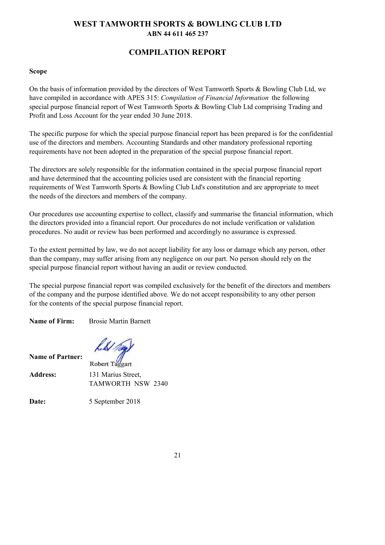## **COMPILATION REPORT**

#### **Scope**

On the basis of information provided by the directors of West Tamworth Sports & Bowling Club Ltd, we have compiled in accordance with APES 315: *Compilation of Financial Information* the following special purpose financial report of West Tamworth Sports & Bowling Club Ltd comprising Trading and Profit and Loss Account for the year ended 30 June 2018.

The specific purpose for which the special purpose financial report has been prepared is for the confidential use of the directors and members. Accounting Standards and other mandatory professional reporting requirements have not been adopted in the preparation of the special purpose financial report.

The directors are solely responsible for the information contained in the special purpose financial report and have determined that the accounting policies used are consistent with the financial reporting requirements of West Tamworth Sports & Bowling Club Ltd's constitution and are appropriate to meet the needs of the directors and members of the company.

Our procedures use accounting expertise to collect, classify and summarise the financial information, which the directors provided into a financial report. Our procedures do not include verification or validation procedures. No audit or review has been performed and accordingly no assurance is expressed.

To the extent permitted by law, we do not accept liability for any loss or damage which any person, other than the company, may suffer arising from any negligence on our part. No person should rely on the special purpose financial report without having an audit or review conducted.

The special purpose financial report was compiled exclusively for the benefit of the directors and members of the company and the purpose identified above. We do not accept responsibility to any other person for the contents of the special purpose financial report.

**Name of Firm:** Brosie Martin Barnett

**Name of Partner:**

held 10g

|                 | Robert Taggart                          |
|-----------------|-----------------------------------------|
| <b>Address:</b> | 131 Marius Street,<br>TAMWORTH NSW 2340 |
| Date:           | 5 September 2018                        |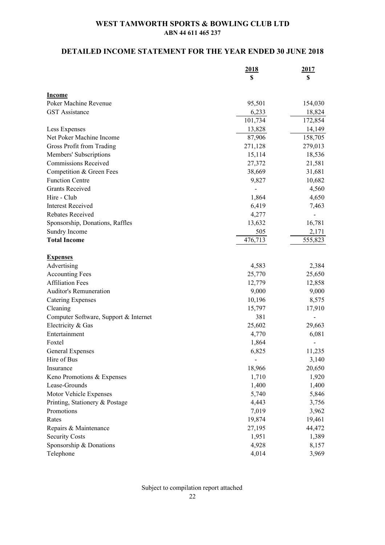## **DETAILED INCOME STATEMENT FOR THE YEAR ENDED 30 JUNE 2018**

|                                                       | 2018<br>\$       | 2017<br>S         |
|-------------------------------------------------------|------------------|-------------------|
|                                                       |                  |                   |
| <b>Income</b>                                         |                  |                   |
| Poker Machine Revenue                                 | 95,501           | 154,030           |
|                                                       | 6,233            |                   |
| <b>GST</b> Assistance                                 | 101,734          | 18,824<br>172,854 |
|                                                       |                  |                   |
| Less Expenses<br>Net Poker Machine Income             | 13,828<br>87,906 | 14,149<br>158,705 |
| Gross Profit from Trading                             | 271,128          | 279,013           |
|                                                       | 15,114           | 18,536            |
| Members' Subscriptions<br><b>Commissions Received</b> | 27,372           | 21,581            |
|                                                       |                  |                   |
| Competition & Green Fees                              | 38,669           | 31,681            |
| <b>Function Centre</b>                                | 9,827            | 10,682            |
| <b>Grants Received</b>                                |                  | 4,560             |
| Hire - Club                                           | 1,864            | 4,650             |
| <b>Interest Received</b>                              | 6,419            | 7,463             |
| Rebates Received                                      | 4,277            |                   |
| Sponsorship, Donations, Raffles                       | 13,632           | 16,781            |
| Sundry Income                                         | 505              | 2,171             |
| <b>Total Income</b>                                   | 476,713          | 555,823           |
| <b>Expenses</b>                                       |                  |                   |
| Advertising                                           | 4,583            | 2,384             |
| <b>Accounting Fees</b>                                | 25,770           | 25,650            |
| <b>Affiliation Fees</b>                               | 12,779           | 12,858            |
| Auditor's Remuneration                                | 9,000            | 9,000             |
| <b>Catering Expenses</b>                              | 10,196           | 8,575             |
| Cleaning                                              | 15,797           | 17,910            |
| Computer Software, Support & Internet                 | 381              |                   |
| Electricity & Gas                                     | 25,602           | 29,663            |
| Entertainment                                         | 4,770            | 6,081             |
| Foxtel                                                | 1,864            |                   |
| <b>General Expenses</b>                               | 6,825            | 11,235            |
| Hire of Bus                                           |                  | 3,140             |
| Insurance                                             | 18,966           | 20,650            |
| Keno Promotions & Expenses                            | 1,710            | 1,920             |
| Lease-Grounds                                         | 1,400            | 1,400             |
| Motor Vehicle Expenses                                | 5,740            | 5,846             |
| Printing, Stationery & Postage                        | 4,443            | 3,756             |
| Promotions                                            | 7,019            | 3,962             |
| Rates                                                 | 19,874           |                   |
| Repairs & Maintenance                                 |                  | 19,461            |
|                                                       | 27,195           | 44,472            |
| <b>Security Costs</b>                                 | 1,951            | 1,389             |
| Sponsorship & Donations                               | 4,928            | 8,157             |
| Telephone                                             | 4,014            | 3,969             |

Subject to compilation report attached 22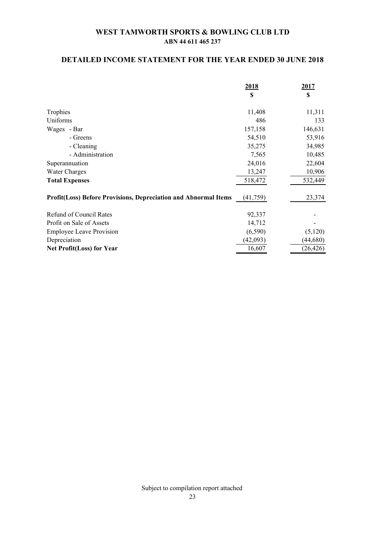## **DETAILED INCOME STATEMENT FOR THE YEAR ENDED 30 JUNE 2018**

|                                                                 | 2018     | <u>2017</u> |
|-----------------------------------------------------------------|----------|-------------|
|                                                                 | \$       | \$          |
| Trophies                                                        | 11,408   | 11,311      |
| Uniforms                                                        | 486      | 133         |
| Wages - Bar                                                     | 157,158  | 146,631     |
| - Greens                                                        | 54,510   | 53,916      |
| - Cleaning                                                      | 35,275   | 34,985      |
| - Administration                                                | 7,565    | 10,485      |
| Superannuation                                                  | 24,016   | 22,604      |
| <b>Water Charges</b>                                            | 13,247   | 10,906      |
| <b>Total Expenses</b>                                           | 518,472  | 532,449     |
| Profit(Loss) Before Provisions, Depreciation and Abnormal Items | (41,759) | 23,374      |
| Refund of Council Rates                                         | 92,337   |             |
| Profit on Sale of Assets                                        | 14,712   |             |
| <b>Employee Leave Provision</b>                                 | (6,590)  | (5,120)     |
| Depreciation                                                    | (42,093) | (44, 680)   |
| <b>Net Profit(Loss) for Year</b>                                | 16,607   | (26, 426)   |